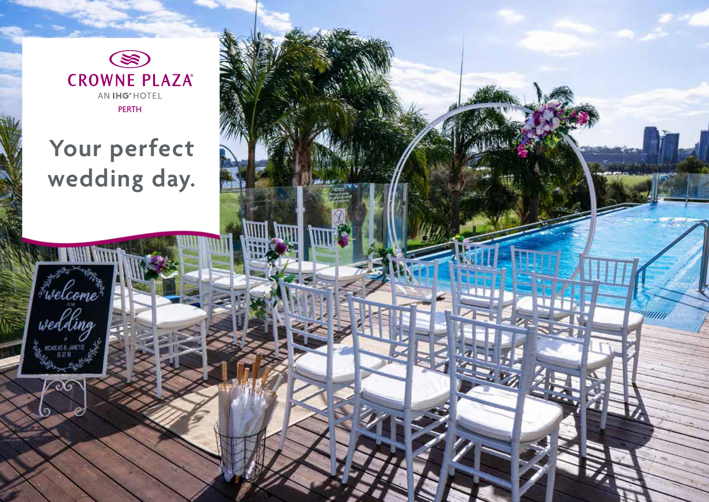$\circledast$ **CROWNE PLAZA®** AN IHG<sup>®</sup> HOTEL PERTH

# **Your perfect wedding day.**

ummun

*Fwelcome*\*<br>wedding

**REHOLAS & JANETI**<br>IS 12 19

 $\sqrt{20}$ 

 $\Omega$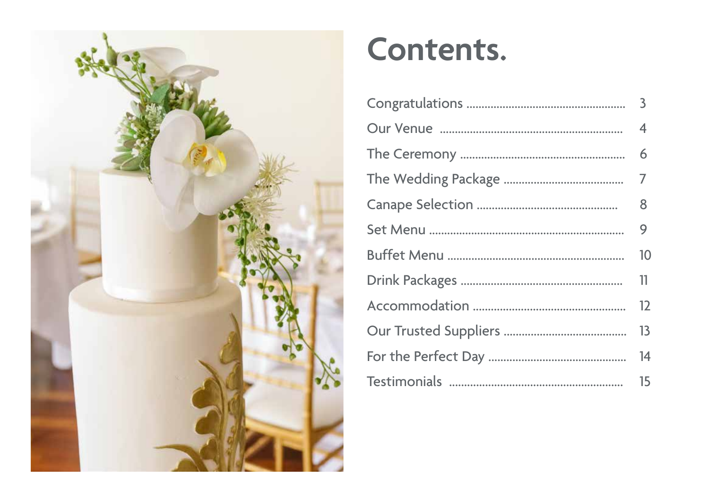

# Contents.

| $\overline{3}$ |
|----------------|
| 4              |
| 6              |
| $\overline{7}$ |
| 8              |
| 9              |
| 10             |
| 11             |
| 12             |
| 13             |
| 14             |
| 15             |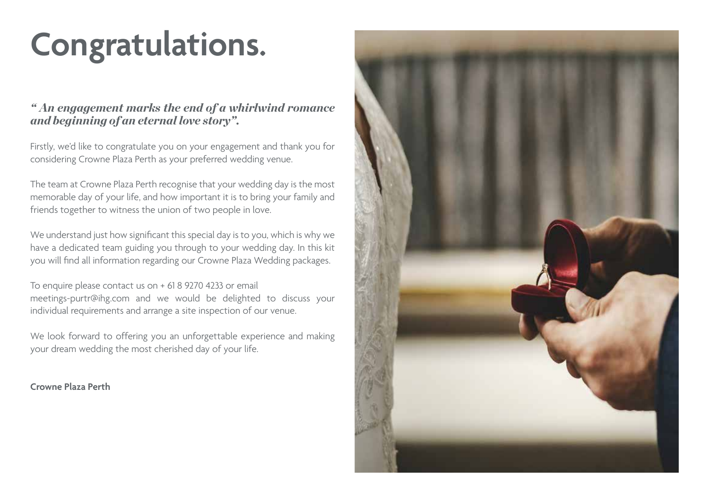# **Congratulations.**

### *" An engagement marks the end of a whirlwind romance and beginning of an eternal love story".*

Firstly, we'd like to congratulate you on your engagement and thank you for considering Crowne Plaza Perth as your preferred wedding venue.

The team at Crowne Plaza Perth recognise that your wedding day is the most memorable day of your life, and how important it is to bring your family and friends together to witness the union of two people in love.

We understand just how significant this special day is to you, which is why we have a dedicated team guiding you through to your wedding day. In this kit you will find all information regarding our Crowne Plaza Wedding packages.

To enquire please contact us on + 61 8 9270 4233 or email meetings-purtr@ihg.com and we would be delighted to discuss your individual requirements and arrange a site inspection of our venue.

We look forward to offering you an unforgettable experience and making your dream wedding the most cherished day of your life.

**Crowne Plaza Perth**

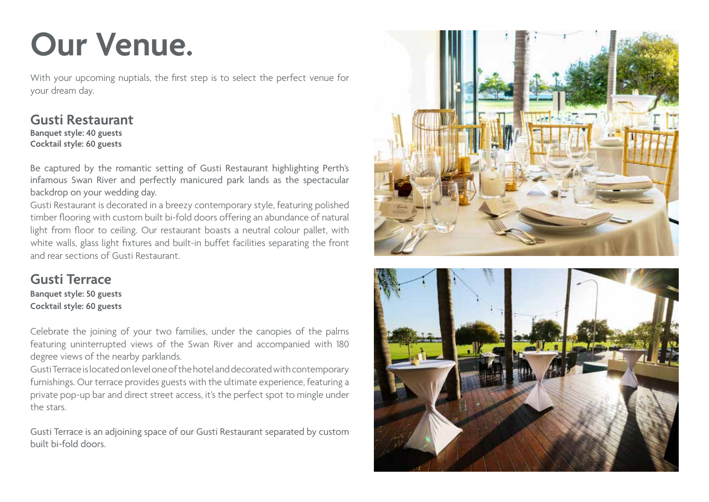# **Our Venue.**

With your upcoming nuptials, the first step is to select the perfect venue for your dream day.

### **Gusti Restaurant**

**Banquet style: 40 guests Cocktail style: 60 guests**

Be captured by the romantic setting of Gusti Restaurant highlighting Perth's infamous Swan River and perfectly manicured park lands as the spectacular backdrop on your wedding day.

Gusti Restaurant is decorated in a breezy contemporary style, featuring polished timber flooring with custom built bi-fold doors offering an abundance of natural light from floor to ceiling. Our restaurant boasts a neutral colour pallet, with white walls, glass light fixtures and built-in buffet facilities separating the front and rear sections of Gusti Restaurant.

**Gusti Terrace Banquet style: 50 guests Cocktail style: 60 guests**

Celebrate the joining of your two families, under the canopies of the palms featuring uninterrupted views of the Swan River and accompanied with 180 degree views of the nearby parklands.

Gusti Terrace is located on level one of the hotel and decorated with contemporary furnishings. Our terrace provides guests with the ultimate experience, featuring a private pop-up bar and direct street access, it's the perfect spot to mingle under the stars.

Gusti Terrace is an adjoining space of our Gusti Restaurant separated by custom built bi-fold doors.



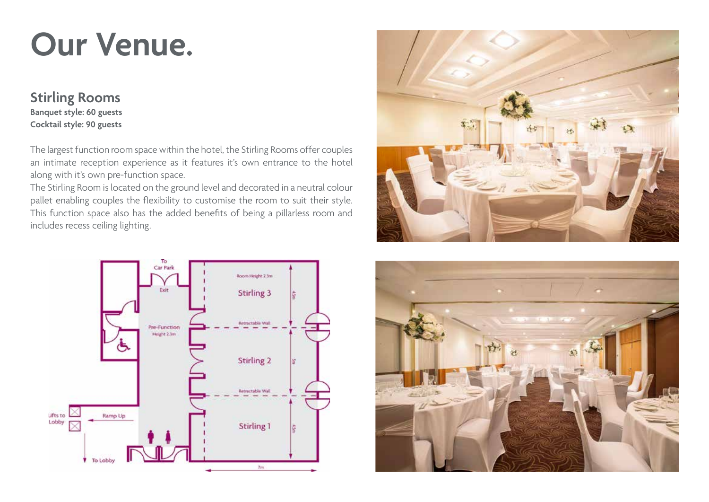# **Our Venue.**

### **Stirling Rooms**

**Banquet style: 60 guests Cocktail style: 90 guests**

The largest function room space within the hotel, the Stirling Rooms offer couples an intimate reception experience as it features it's own entrance to the hotel along with it's own pre-function space.

The Stirling Room is located on the ground level and decorated in a neutral colour pallet enabling couples the flexibility to customise the room to suit their style. This function space also has the added benefits of being a pillarless room and includes recess ceiling lighting.





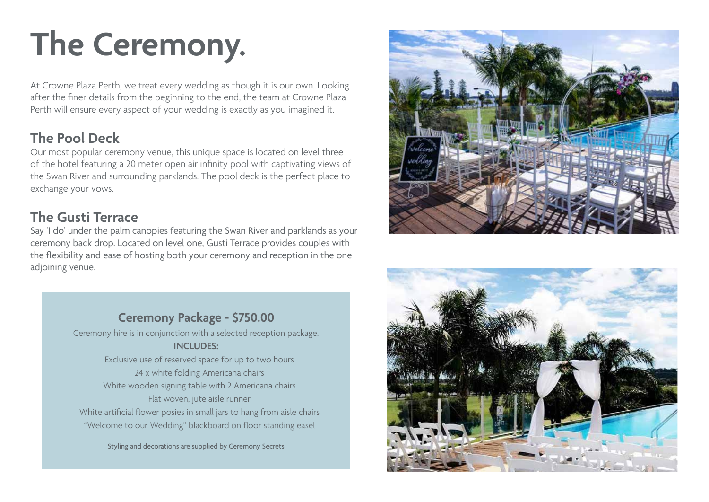# **The Ceremony.**

At Crowne Plaza Perth, we treat every wedding as though it is our own. Looking after the finer details from the beginning to the end, the team at Crowne Plaza Perth will ensure every aspect of your wedding is exactly as you imagined it.

## **The Pool Deck**

Our most popular ceremony venue, this unique space is located on level three of the hotel featuring a 20 meter open air infinity pool with captivating views of the Swan River and surrounding parklands. The pool deck is the perfect place to exchange your vows.

### **The Gusti Terrace**

Say 'I do' under the palm canopies featuring the Swan River and parklands as your ceremony back drop. Located on level one, Gusti Terrace provides couples with the flexibility and ease of hosting both your ceremony and reception in the one adjoining venue.





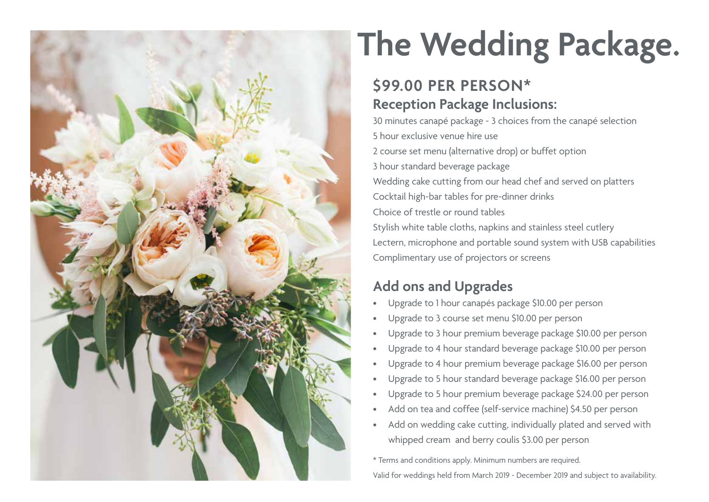

# **The Wedding Package.**

## **\$99.00 PER PERSON\* Reception Package Inclusions:**

30 minutes canapé package - 3 choices from the canapé selection 5 hour exclusive venue hire use 2 course set menu (alternative drop) or buffet option 3 hour standard beverage package Wedding cake cutting from our head chef and served on platters Cocktail high-bar tables for pre-dinner drinks Choice of trestle or round tables Stylish white table cloths, napkins and stainless steel cutlery Lectern, microphone and portable sound system with USB capabilities Complimentary use of projectors or screens

# **Add ons and Upgrades**

- Upgrade to 1 hour canapés package \$10.00 per person
- Upgrade to 3 course set menu \$10.00 per person
- Upgrade to 3 hour premium beverage package \$10.00 per person
- Upgrade to 4 hour standard beverage package \$10.00 per person
- Upgrade to 4 hour premium beverage package \$16.00 per person
- Upgrade to 5 hour standard beverage package \$16.00 per person
- Upgrade to 5 hour premium beverage package \$24.00 per person
- Add on tea and coffee (self-service machine) \$4.50 per person
- Add on wedding cake cutting, individually plated and served with whipped cream and berry coulis \$3.00 per person

\* Terms and conditions apply. Minimum numbers are required. Valid for weddings held from March 2019 - December 2019 and subject to availability.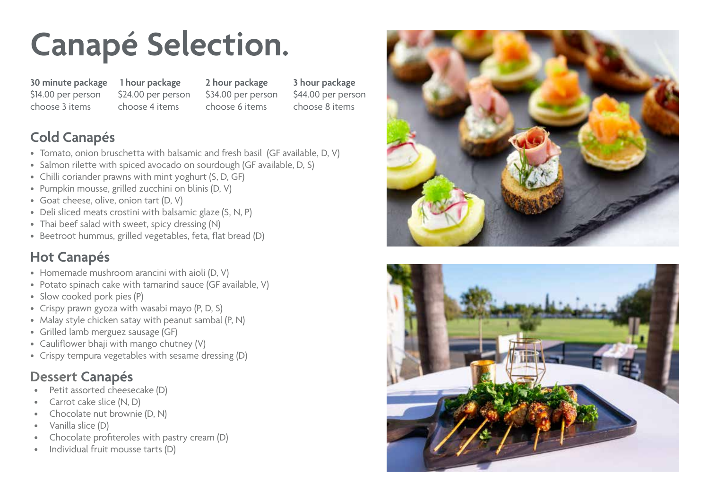# **Canapé Selection.**

**30 minute package**  \$14.00 per person choose 3 items

 **1 hour package**  \$24.00 per person choose 4 items

**2 hour package**  \$34.00 per person choose 6 items

**3 hour package** \$44.00 per person choose 8 items

## **Cold Canapés**

- Tomato, onion bruschetta with balsamic and fresh basil (GF available, D, V)
- Salmon rilette with spiced avocado on sourdough (GF available, D, S)
- Chilli coriander prawns with mint yoghurt (S, D, GF)
- Pumpkin mousse, grilled zucchini on blinis (D, V)
- Goat cheese, olive, onion tart (D, V)
- Deli sliced meats crostini with balsamic glaze (S, N, P)
- Thai beef salad with sweet, spicy dressing (N)
- Beetroot hummus, grilled vegetables, feta, flat bread (D)

# **Hot Canapés**

- Homemade mushroom arancini with aioli (D, V)
- Potato spinach cake with tamarind sauce (GF available, V)
- Slow cooked pork pies (P)
- Crispy prawn gyoza with wasabi mayo (P, D, S)
- Malay style chicken satay with peanut sambal (P, N)
- Grilled lamb merguez sausage (GF)
- Cauliflower bhaji with mango chutney (V)
- Crispy tempura vegetables with sesame dressing (D)

# **Dessert Canapés**

- Petit assorted cheesecake (D)
- Carrot cake slice (N, D)
- Chocolate nut brownie (D, N)
- Vanilla slice (D)
- Chocolate profiteroles with pastry cream (D)
- Individual fruit mousse tarts (D)



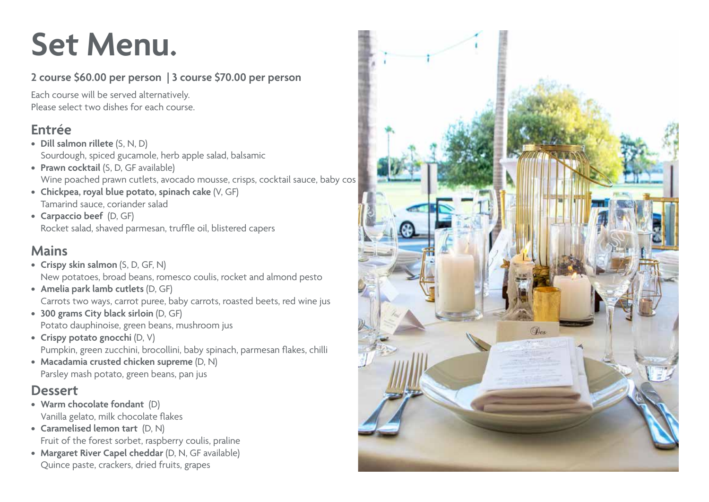# **Set Menu.**

### **2 course \$60.00 per person | 3 course \$70.00 per person**

Each course will be served alternatively. Please select two dishes for each course.

## **Entrée**

- **• Dill salmon rillete** (S, N, D) Sourdough, spiced gucamole, herb apple salad, balsamic
- **• Prawn cocktail** (S, D, GF available) Wine poached prawn cutlets, avocado mousse, crisps, cocktail sauce, baby cos
- **• Chickpea, royal blue potato, spinach cake** (V, GF) Tamarind sauce, coriander salad
- **• Carpaccio beef** (D, GF) Rocket salad, shaved parmesan, truffle oil, blistered capers

## **Mains**

- **• Crispy skin salmon** (S, D, GF, N) New potatoes, broad beans, romesco coulis, rocket and almond pesto
- **• Amelia park lamb cutlets** (D, GF) Carrots two ways, carrot puree, baby carrots, roasted beets, red wine jus
- **• 300 grams City black sirloin** (D, GF) Potato dauphinoise, green beans, mushroom jus
- **• Crispy potato gnocchi** (D, V) Pumpkin, green zucchini, brocollini, baby spinach, parmesan flakes, chilli
- **• Macadamia crusted chicken supreme** (D, N) Parsley mash potato, green beans, pan jus

## **Dessert**

- **• Warm chocolate fondant** (D) Vanilla gelato, milk chocolate flakes
- **• Caramelised lemon tart** (D, N) Fruit of the forest sorbet, raspberry coulis, praline
- **• Margaret River Capel cheddar** (D, N, GF available) Quince paste, crackers, dried fruits, grapes

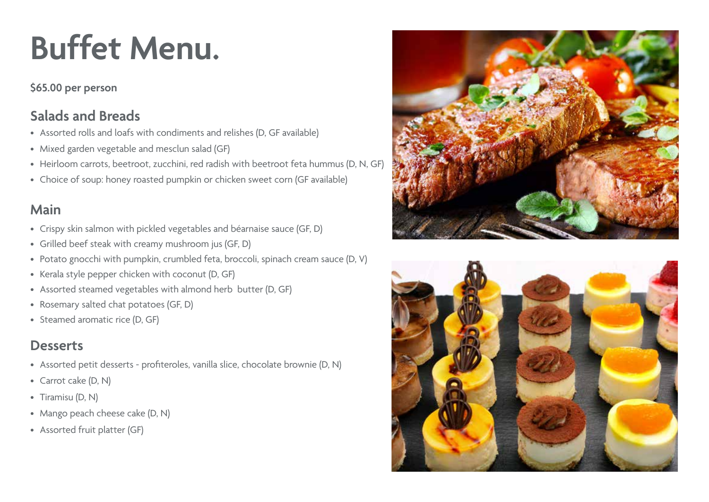# **Buffet Menu.**

### **\$65.00 per person**

## **Salads and Breads**

- Assorted rolls and loafs with condiments and relishes (D, GF available)
- Mixed garden vegetable and mesclun salad (GF)
- Heirloom carrots, beetroot, zucchini, red radish with beetroot feta hummus (D, N, GF)
- Choice of soup: honey roasted pumpkin or chicken sweet corn (GF available)

## **Main**

- Crispy skin salmon with pickled vegetables and béarnaise sauce (GF, D)
- Grilled beef steak with creamy mushroom jus (GF, D)
- Potato gnocchi with pumpkin, crumbled feta, broccoli, spinach cream sauce (D, V)
- Kerala style pepper chicken with coconut (D, GF)
- Assorted steamed vegetables with almond herb butter (D, GF)
- Rosemary salted chat potatoes (GF, D)
- Steamed aromatic rice (D, GF)

# **Desserts**

- Assorted petit desserts profiteroles, vanilla slice, chocolate brownie (D, N)
- Carrot cake (D, N)
- Tiramisu (D, N)
- Mango peach cheese cake (D, N)
- Assorted fruit platter (GF)



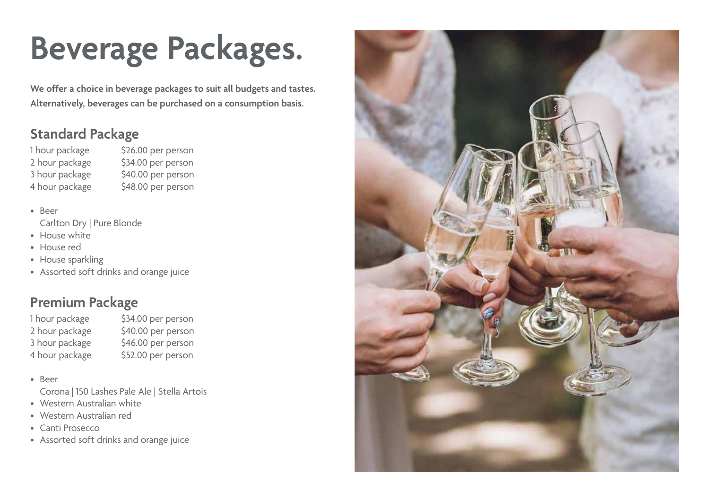# **Beverage Packages.**

**We offer a choice in beverage packages to suit all budgets and tastes. Alternatively, beverages can be purchased on a consumption basis.**

## **Standard Package**

1 hour package \$26.00 per person 2 hour package \$34.00 per person 3 hour package \$40.00 per person 4 hour package \$48.00 per person

• Beer Carlton Dry | Pure Blonde

- House white
- House red
- House sparkling
- Assorted soft drinks and orange juice

## **Premium Package**

1 hour package \$34.00 per person 2 hour package \$40.00 per person 3 hour package \$46.00 per person 4 hour package \$52.00 per person

• Beer

- Corona | 150 Lashes Pale Ale | Stella Artois
- Western Australian white
- Western Australian red
- Canti Prosecco
- Assorted soft drinks and orange juice

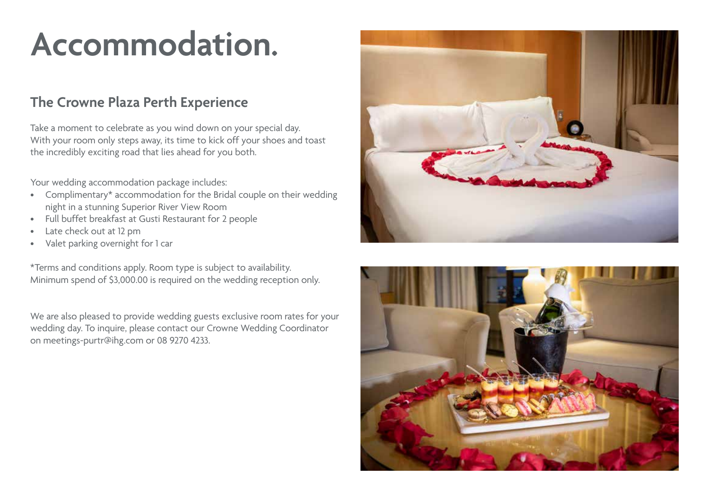# **Accommodation.**

### **The Crowne Plaza Perth Experience**

Take a moment to celebrate as you wind down on your special day. With your room only steps away, its time to kick off your shoes and toast the incredibly exciting road that lies ahead for you both.

Your wedding accommodation package includes:

- Complimentary\* accommodation for the Bridal couple on their wedding night in a stunning Superior River View Room
- Full buffet breakfast at Gusti Restaurant for 2 people
- Late check out at 12 pm
- Valet parking overnight for 1 car

\*Terms and conditions apply. Room type is subject to availability. Minimum spend of \$3,000.00 is required on the wedding reception only.

We are also pleased to provide wedding guests exclusive room rates for your wedding day. To inquire, please contact our Crowne Wedding Coordinator on meetings-purtr@ihg.com or 08 9270 4233.



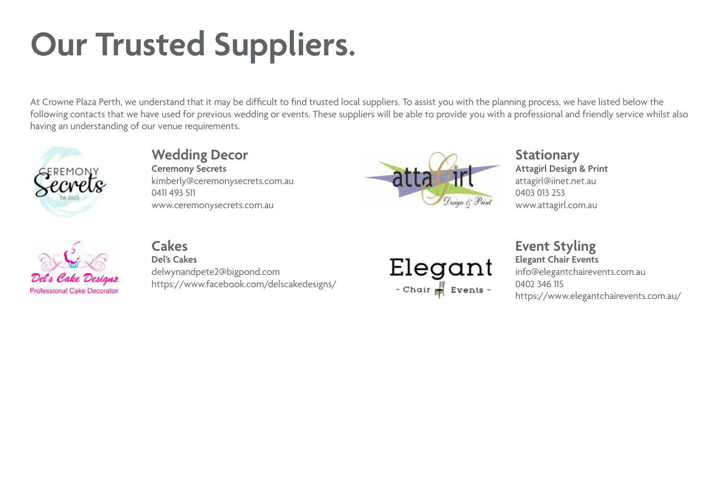# **Our Trusted Suppliers.**

At Crowne Plaza Perth, we understand that it may be difficult to find trusted local suppliers. To assist you with the planning process, we have listed below the following contacts that we have used for previous wedding or events. These suppliers will be able to provide you with a professional and friendly service whilst also having an understanding of our venue requirements.







# **Cakes** Event Styling **Event Styling**<br>
Del's Cakes **Event Styling Del's Cakes Del's Cakes Elegant Chair Events**

**Professional Cake Designer** https://www.facebook.com/delscakedesigns/ **blue chair and Events** - 0402 346 115

 $\mathbf{LICGGL}$  delwynandpete2@bigpond.com  $\mathbf{LICGGL}$ https://www.elegantchairevents.com.au/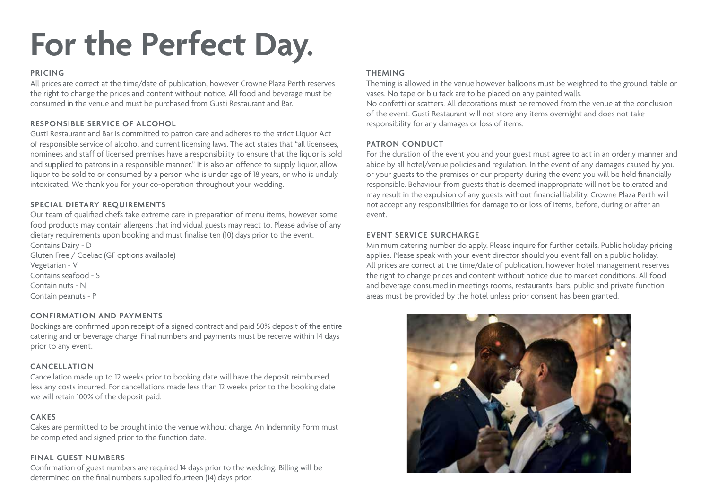# **For the Perfect Day.**

### **PRICING**

All prices are correct at the time/date of publication, however Crowne Plaza Perth reserves the right to change the prices and content without notice. All food and beverage must be consumed in the venue and must be purchased from Gusti Restaurant and Bar.

### **RESPONSIBLE SERVICE OF ALCOHOL**

Gusti Restaurant and Bar is committed to patron care and adheres to the strict Liquor Act of responsible service of alcohol and current licensing laws. The act states that "all licensees, nominees and staff of licensed premises have a responsibility to ensure that the liquor is sold and supplied to patrons in a responsible manner." It is also an offence to supply liquor, allow liquor to be sold to or consumed by a person who is under age of 18 years, or who is unduly intoxicated. We thank you for your co-operation throughout your wedding.

### **SPECIAL DIETARY REQUIREMENTS**

Our team of qualified chefs take extreme care in preparation of menu items, however some food products may contain allergens that individual guests may react to. Please advise of any dietary requirements upon booking and must finalise ten (10) days prior to the event. Contains Dairy - D

Gluten Free / Coeliac (GF options available) Vegetarian - V Contains seafood - S Contain nuts - N Contain peanuts - P

#### **CONFIRMATION AND PAYMENTS**

Bookings are confirmed upon receipt of a signed contract and paid 50% deposit of the entire catering and or beverage charge. Final numbers and payments must be receive within 14 days prior to any event.

#### **CANCELLATION**

Cancellation made up to 12 weeks prior to booking date will have the deposit reimbursed, less any costs incurred. For cancellations made less than 12 weeks prior to the booking date we will retain 100% of the deposit paid.

### **CAKES**

Cakes are permitted to be brought into the venue without charge. An Indemnity Form must be completed and signed prior to the function date.

### **FINAL GUEST NUMBERS**

Confirmation of guest numbers are required 14 days prior to the wedding. Billing will be determined on the final numbers supplied fourteen (14) days prior.

### **THEMING**

Theming is allowed in the venue however balloons must be weighted to the ground, table or vases. No tape or blu tack are to be placed on any painted walls.

No confetti or scatters. All decorations must be removed from the venue at the conclusion of the event. Gusti Restaurant will not store any items overnight and does not take responsibility for any damages or loss of items.

#### **PATRON CONDUCT**

For the duration of the event you and your guest must agree to act in an orderly manner and abide by all hotel/venue policies and regulation. In the event of any damages caused by you or your guests to the premises or our property during the event you will be held financially responsible. Behaviour from guests that is deemed inappropriate will not be tolerated and may result in the expulsion of any guests without financial liability. Crowne Plaza Perth will not accept any responsibilities for damage to or loss of items, before, during or after an event.

#### **EVENT SERVICE SURCHARGE**

Minimum catering number do apply. Please inquire for further details. Public holiday pricing applies. Please speak with your event director should you event fall on a public holiday. All prices are correct at the time/date of publication, however hotel management reserves the right to change prices and content without notice due to market conditions. All food and beverage consumed in meetings rooms, restaurants, bars, public and private function areas must be provided by the hotel unless prior consent has been granted.

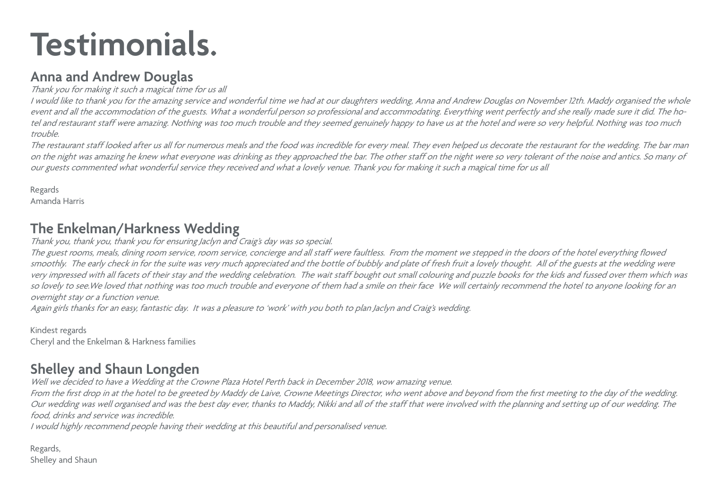# **Testimonials.**

### **Anna and Andrew Douglas**

<sup>T</sup>hank you for making it such a magical time for us all

I would like to thank you for the amazing service and wonderful time we had at our daughters wedding, Anna and Andrew Douglas on November 12th. Maddy organised the whole event and all the accommodation of the guests. What a wonderful person so professional and accommodating. Everything went perfectly and she really made sure it did. The hotel and restaurant staff were amazing. Nothing was too much trouble and they seemed genuinely happy to have us at the hotel and were so very helpful. Nothing was too much trouble.

The restaurant staff looked after us all for numerous meals and the food was incredible for every meal. They even helped us decorate the restaurant for the wedding. The bar man on the night was amazing he knew what everyone was drinking as they approached the bar. The other staff on the night were so very tolerant of the noise and antics. So many of our guests commented what wonderful service they received and what a lovely venue. Thank you for making it such a magical time for us all

Regards Amanda Harris

### **The Enkelman/Harkness Wedding**

Thank you, thank you, thank you for ensuring Jaclyn and Craig's day was so special.

The guest rooms, meals, dining room service, room service, concierge and all staff were faultless. From the moment we stepped in the doors of the hotel everything flowed smoothly. The early check in for the suite was very much appreciated and the bottle of bubbly and plate of fresh fruit a lovely thought. All of the guests at the wedding were very impressed with all facets of their stay and the wedding celebration. The wait staff bought out small colouring and puzzle books for the kids and fussed over them which was so lovely to see.We loved that nothing was too much trouble and everyone of them had a smile on their face We will certainly recommend the hotel to anyone looking for an overnight stay or a function venue.

Again girls thanks for an easy, fantastic day. It was a pleasure to 'work' with you both to plan Jaclyn and Craig's wedding.

Kindest regards Cheryl and the Enkelman & Harkness families

## **Shelley and Shaun Longden**

Well we decided to have a Wedding at the Crowne Plaza Hotel Perth back in December 2018, wow amazing venue.

From the first drop in at the hotel to be greeted by Maddy de Laive, Crowne Meetings Director, who went above and beyond from the first meeting to the day of the wedding. Our wedding was well organised and was the best day ever, thanks to Maddy, Nikki and all of the staff that were involved with the planning and setting up of our wedding. The food, drinks and service was incredible.

I would highly recommend people having their wedding at this beautiful and personalised venue.

Regards, Shelley and Shaun